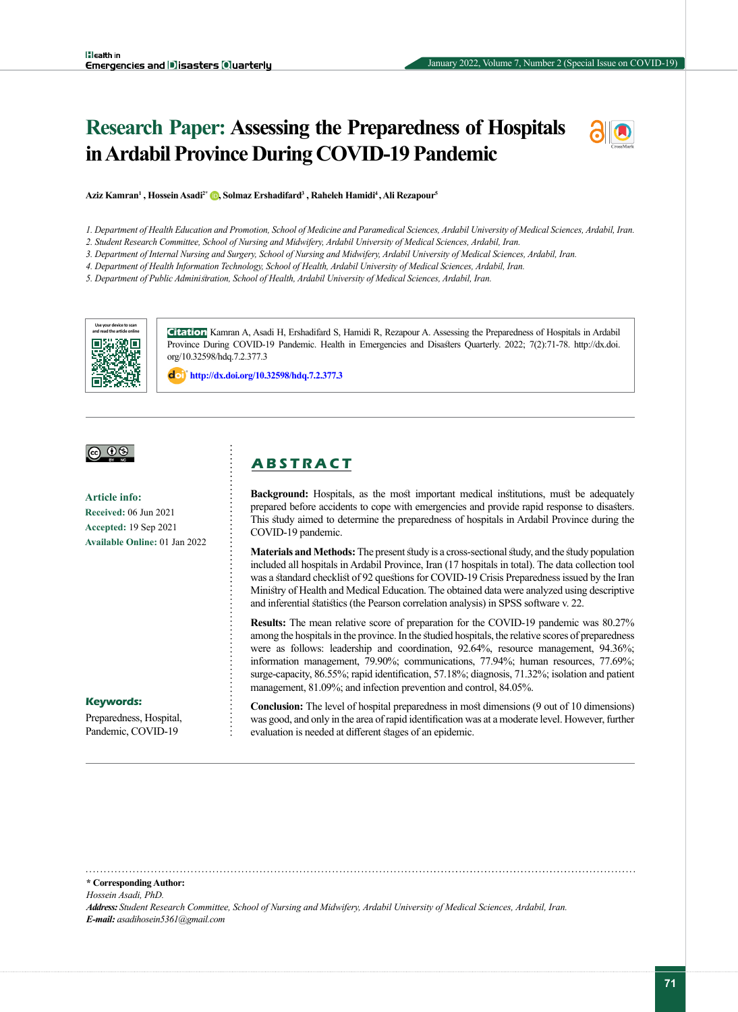# **Research Paper: Assessing the Preparedness of Hospitals in Ardabil Province During COVID-19 Pandemic**



**Aziz Kamran1 , Hossein Asadi2\* [,](http://orcid.org/0000-0002-0905-1969) Solmaz Ershadifard3 , Raheleh Hamidi4 , Ali Rezapour5**

*1. Department of Health Education and Promotion, School of Medicine and Paramedical Sciences, Ardabil University of Medical Sciences, Ardabil, Iran.*

*2. Student Research Committee, School of Nursing and Midwifery, Ardabil University of Medical Sciences, Ardabil, Iran.*

*3. Department of Internal Nursing and Surgery, School of Nursing and Midwifery, Ardabil University of Medical Sciences, Ardabil, Iran.*

*4. Department of Health Information Technology, School of Health, Ardabil University of Medical Sciences, Ardabil, Iran.*

*5. Department of Public Administration, School of Health, Ardabil University of Medical Sciences, Ardabil, Iran.*



**Citation** Kamran A, Asadi H, Ershadifard S, Hamidi R, Rezapour A. Assessing the Preparedness of Hospitals in Ardabil Province During COVID-19 Pandemic. Health in Emergencies and Disasters Quarterly. 2022; 7(2):71-78. http://dx.doi. org/10.32598/hdq.7.2.377.3

**http://dx.doi.org/10.32598/hdq.7.2.377.3**



**Article info: Received:** 06 Jun 2021 **Accepted:** 19 Sep 2021 **Available Online:** 01 Jan 2022

# **A B S T R A C T**

**Background:** Hospitals, as the most important medical institutions, must be adequately prepared before accidents to cope with emergencies and provide rapid response to disasters. This study aimed to determine the preparedness of hospitals in Ardabil Province during the COVID-19 pandemic.

**Materials and Methods:** The present study is a cross-sectional study, and the study population included all hospitals in Ardabil Province, Iran (17 hospitals in total). The data collection tool was a standard checklist of 92 questions for COVID-19 Crisis Preparedness issued by the Iran Ministry of Health and Medical Education. The obtained data were analyzed using descriptive and inferential statistics (the Pearson correlation analysis) in SPSS software v. 22.

**Results:** The mean relative score of preparation for the COVID-19 pandemic was 80.27% among the hospitals in the province. In the studied hospitals, the relative scores of preparedness were as follows: leadership and coordination, 92.64%, resource management, 94.36%; information management, 79.90%; communications, 77.94%; human resources, 77.69%; surge-capacity, 86.55%; rapid identification, 57.18%; diagnosis, 71.32%; isolation and patient management, 81.09%; and infection prevention and control, 84.05%.

**Keywords:**

Preparedness, Hospital, Pandemic, COVID-19

**Conclusion:** The level of hospital preparedness in most dimensions (9 out of 10 dimensions) was good, and only in the area of rapid identification was at a moderate level. However, further evaluation is needed at different stages of an epidemic.

**\* Corresponding Author:**

*Hossein Asadi, PhD.*

*Address: Student Research Committee, School of Nursing and Midwifery, Ardabil University of Medical Sciences, Ardabil, Iran. E-mail: asadihosein5361@gmail.com*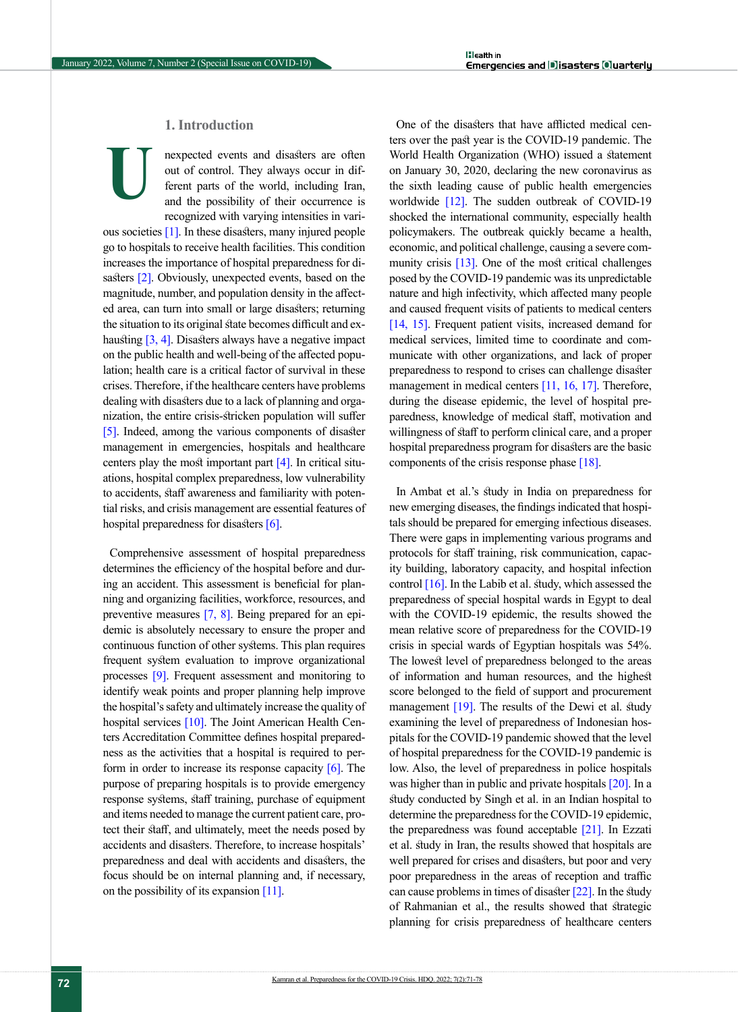# **1. Introduction**

nexpected events and disasters are often out of control. They always occur in different parts of the world, including Iran, and the possibility of their occurrence is recognized with varying intensities in various societies [\[1\]](#page-6-0). In these disasters, many injured people go to hospitals to receive health facilities. This condition increases the importance of hospital preparedness for di-sasters [\[2\].](#page-6-1) Obviously, unexpected events, based on the magnitude, number, and population density in the affected area, can turn into small or large disasters; returning the situation to its original state becomes difficult and ex-hausting [\[3,](#page-6-2) [4\]](#page-6-3). Disasters always have a negative impact on the public health and well-being of the affected population; health care is a critical factor of survival in these crises. Therefore, if the healthcare centers have problems dealing with disasters due to a lack of planning and organization, the entire crisis-stricken population will suffer [\[5\]](#page-6-4). Indeed, among the various components of disaster management in emergencies, hospitals and healthcare centers play the most important part  $[4]$ . In critical situations, hospital complex preparedness, low vulnerability to accidents, staff awareness and familiarity with potential risks, and crisis management are essential features of hospital preparedness for disasters [\[6\].](#page-6-5) **U**

Comprehensive assessment of hospital preparedness determines the efficiency of the hospital before and during an accident. This assessment is beneficial for planning and organizing facilities, workforce, resources, and preventive measures [\[7,](#page-6-6) [8\]](#page-6-7). Being prepared for an epidemic is absolutely necessary to ensure the proper and continuous function of other systems. This plan requires frequent system evaluation to improve organizational processes [\[9\]](#page-6-8). Frequent assessment and monitoring to identify weak points and proper planning help improve the hospital's safety and ultimately increase the quality of hospital services [\[10\].](#page-6-9) The Joint American Health Centers Accreditation Committee defines hospital preparedness as the activities that a hospital is required to per-form in order to increase its response capacity [\[6\]](#page-6-5). The purpose of preparing hospitals is to provide emergency response systems, staff training, purchase of equipment and items needed to manage the current patient care, protect their staff, and ultimately, meet the needs posed by accidents and disasters. Therefore, to increase hospitals' preparedness and deal with accidents and disasters, the focus should be on internal planning and, if necessary, on the possibility of its expansion [\[11\]](#page-6-10).

One of the disasters that have afflicted medical centers over the past year is the COVID-19 pandemic. The World Health Organization (WHO) issued a statement on January 30, 2020, declaring the new coronavirus as the sixth leading cause of public health emergencies worldwide [\[12\]](#page-6-11). The sudden outbreak of COVID-19 shocked the international community, especially health policymakers. The outbreak quickly became a health, economic, and political challenge, causing a severe community crisis [13]. One of the most critical challenges posed by the COVID-19 pandemic was its unpredictable nature and high infectivity, which affected many people and caused frequent visits of patients to medical centers [\[14,](#page-6-12) [15\]](#page-7-0). Frequent patient visits, increased demand for medical services, limited time to coordinate and communicate with other organizations, and lack of proper preparedness to respond to crises can challenge disaster management in medical centers [\[11,](#page-6-10) [16,](#page-7-1) [17\]](#page-7-2). Therefore, during the disease epidemic, the level of hospital preparedness, knowledge of medical staff, motivation and willingness of staff to perform clinical care, and a proper hospital preparedness program for disasters are the basic components of the crisis response phase [\[18\].](#page-7-3)

In Ambat et al.'s study in India on preparedness for new emerging diseases, the findings indicated that hospitals should be prepared for emerging infectious diseases. There were gaps in implementing various programs and protocols for staff training, risk communication, capacity building, laboratory capacity, and hospital infection control  $[16]$ . In the Labib et al. study, which assessed the preparedness of special hospital wards in Egypt to deal with the COVID-19 epidemic, the results showed the mean relative score of preparedness for the COVID-19 crisis in special wards of Egyptian hospitals was 54%. The lowest level of preparedness belonged to the areas of information and human resources, and the highest score belonged to the field of support and procurement management  $[19]$ . The results of the Dewi et al. study examining the level of preparedness of Indonesian hospitals for the COVID-19 pandemic showed that the level of hospital preparedness for the COVID-19 pandemic is low. Also, the level of preparedness in police hospitals was higher than in public and private hospitals [\[20\]](#page-7-5). In a study conducted by Singh et al. in an Indian hospital to determine the preparedness for the COVID-19 epidemic, the preparedness was found acceptable [\[21\].](#page-7-6) In Ezzati et al. study in Iran, the results showed that hospitals are well prepared for crises and disasters, but poor and very poor preparedness in the areas of reception and traffic can cause problems in times of disaster [\[22\]](#page-7-7). In the study of Rahmanian et al., the results showed that strategic planning for crisis preparedness of healthcare centers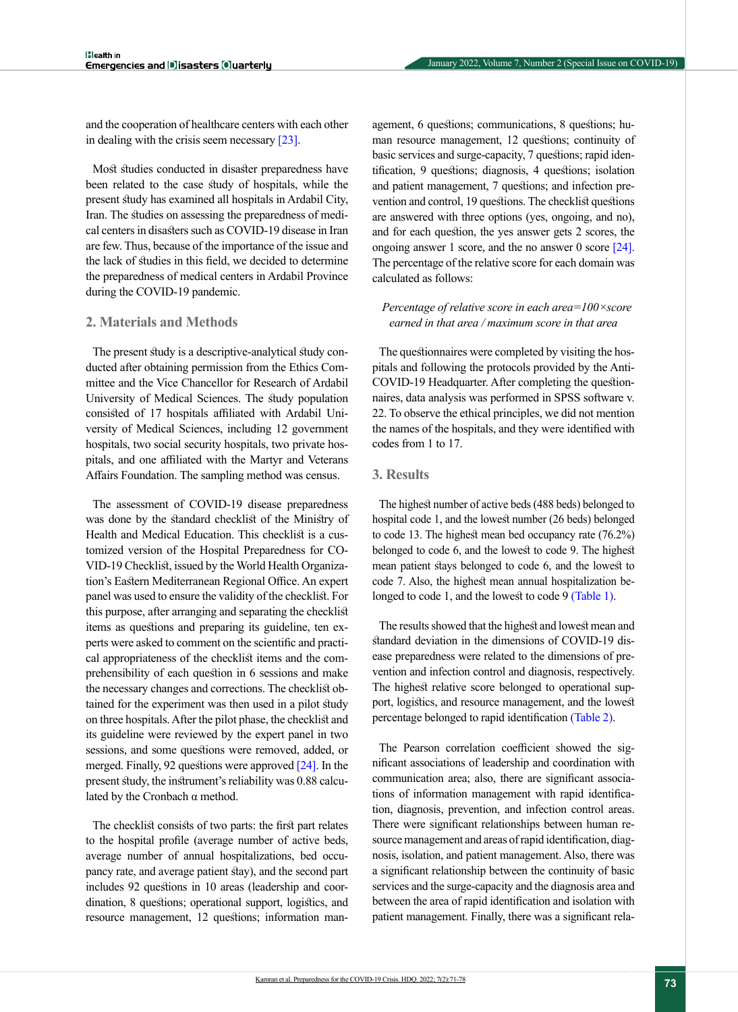and the cooperation of healthcare centers with each other in dealing with the crisis seem necessary [\[23\].](#page-7-8)

Most studies conducted in disaster preparedness have been related to the case study of hospitals, while the present study has examined all hospitals in Ardabil City, Iran. The studies on assessing the preparedness of medical centers in disasters such as COVID-19 disease in Iran are few. Thus, because of the importance of the issue and the lack of studies in this field, we decided to determine the preparedness of medical centers in Ardabil Province during the COVID-19 pandemic.

#### **2. Materials and Methods**

The present study is a descriptive-analytical study conducted after obtaining permission from the Ethics Committee and the Vice Chancellor for Research of Ardabil University of Medical Sciences. The study population consisted of 17 hospitals affiliated with Ardabil University of Medical Sciences, including 12 government hospitals, two social security hospitals, two private hospitals, and one affiliated with the Martyr and Veterans Affairs Foundation. The sampling method was census.

The assessment of COVID-19 disease preparedness was done by the standard checklist of the Ministry of Health and Medical Education. This checklist is a customized version of the Hospital Preparedness for CO-VID-19 Checklist, issued by the World Health Organization's Eastern Mediterranean Regional Office. An expert panel was used to ensure the validity of the checklist. For this purpose, after arranging and separating the checklist items as questions and preparing its guideline, ten experts were asked to comment on the scientific and practical appropriateness of the checklist items and the comprehensibility of each question in 6 sessions and make the necessary changes and corrections. The checklist obtained for the experiment was then used in a pilot study on three hospitals. After the pilot phase, the checklist and its guideline were reviewed by the expert panel in two sessions, and some questions were removed, added, or merged. Finally, 92 questions were approved [\[24\]](#page-7-9). In the present study, the instrument's reliability was 0.88 calculated by the Cronbach  $\alpha$  method.

The checklist consists of two parts: the first part relates to the hospital profile (average number of active beds, average number of annual hospitalizations, bed occupancy rate, and average patient stay), and the second part includes 92 questions in 10 areas (leadership and coordination, 8 questions; operational support, logistics, and resource management, 12 questions; information management, 6 questions; communications, 8 questions; human resource management, 12 questions; continuity of basic services and surge-capacity, 7 questions; rapid identification, 9 questions; diagnosis, 4 questions; isolation and patient management, 7 questions; and infection prevention and control, 19 questions. The checklist questions are answered with three options (yes, ongoing, and no), and for each question, the yes answer gets 2 scores, the ongoing answer 1 score, and the no answer 0 score [\[24\]](#page-7-9). The percentage of the relative score for each domain was calculated as follows:

# *Percentage of relative score in each area=100×score earned in that area / maximum score in that area*

The questionnaires were completed by visiting the hospitals and following the protocols provided by the Anti-COVID-19 Headquarter. After completing the questionnaires, data analysis was performed in SPSS software v. 22. To observe the ethical principles, we did not mention the names of the hospitals, and they were identified with codes from 1 to 17.

#### **3. Results**

The highest number of active beds (488 beds) belonged to hospital code 1, and the lowest number (26 beds) belonged to code 13. The highest mean bed occupancy rate (76.2%) belonged to code 6, and the lowest to code 9. The highest mean patient stays belonged to code 6, and the lowest to code 7. Also, the highest mean annual hospitalization belonged to code 1, and the lowest to code 9 [\(Table 1\).](#page-3-0)

The results showed that the highest and lowest mean and standard deviation in the dimensions of COVID-19 disease preparedness were related to the dimensions of prevention and infection control and diagnosis, respectively. The highest relative score belonged to operational support, logistics, and resource management, and the lowest percentage belonged to rapid identification [\(Table 2\)](#page-3-1).

The Pearson correlation coefficient showed the significant associations of leadership and coordination with communication area; also, there are significant associations of information management with rapid identification, diagnosis, prevention, and infection control areas. There were significant relationships between human resource management and areas of rapid identification, diagnosis, isolation, and patient management. Also, there was a significant relationship between the continuity of basic services and the surge-capacity and the diagnosis area and between the area of rapid identification and isolation with patient management. Finally, there was a significant rela-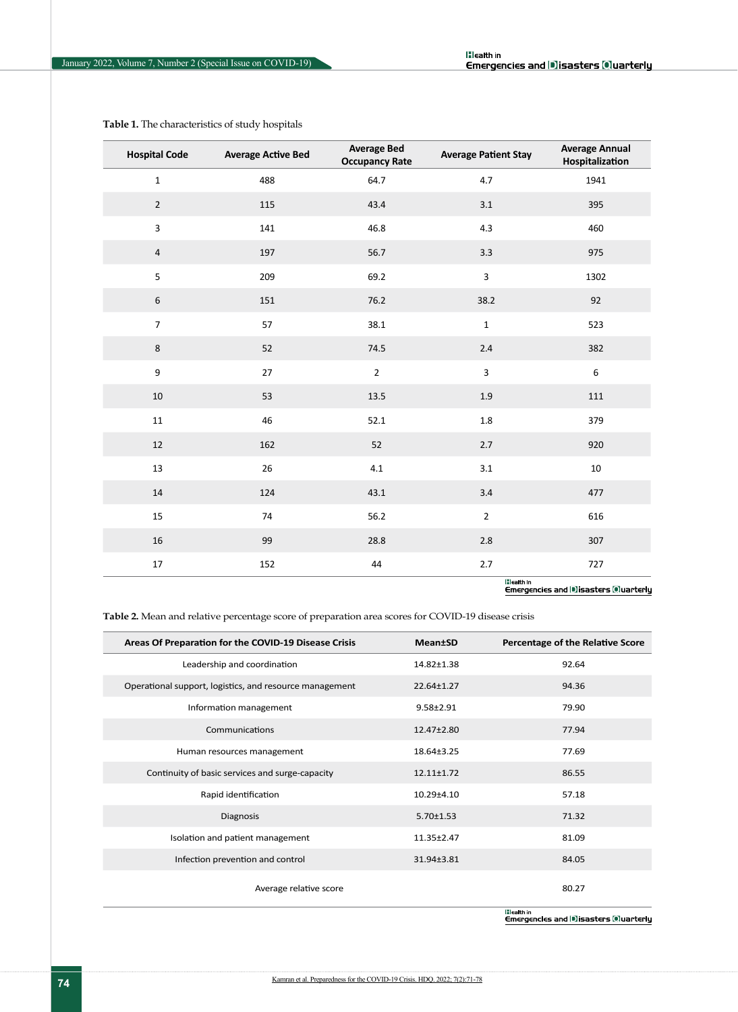| <b>Hospital Code</b>    | <b>Average Active Bed</b> | <b>Average Bed</b><br><b>Occupancy Rate</b> | <b>Average Patient Stay</b> | <b>Average Annual</b><br>Hospitalization |
|-------------------------|---------------------------|---------------------------------------------|-----------------------------|------------------------------------------|
| $\mathbf{1}$            | 488                       | 64.7                                        | 4.7                         | 1941                                     |
| $\overline{2}$          | 115                       | 43.4                                        | 3.1                         | 395                                      |
| $\overline{\mathbf{3}}$ | 141                       | 46.8                                        | 4.3                         | 460                                      |
| $\overline{4}$          | 197                       | 56.7                                        | 3.3                         | 975                                      |
| 5                       | 209                       | 69.2                                        | $\overline{3}$              | 1302                                     |
| $\boldsymbol{6}$        | 151                       | 76.2                                        | 38.2                        | 92                                       |
| $\overline{7}$          | 57                        | 38.1                                        | $\mathbf 1$                 | 523                                      |
| $\,8\,$                 | 52                        | 74.5                                        | $2.4$                       | 382                                      |
| 9                       | $27\,$                    | $\overline{2}$                              | $\mathbf{3}$                | $\boldsymbol{6}$                         |
| $10\,$                  | 53                        | 13.5                                        | $1.9\,$                     | 111                                      |
| $11\,$                  | 46                        | 52.1                                        | $1.8\,$                     | 379                                      |
| 12                      | 162                       | 52                                          | 2.7                         | 920                                      |
| 13                      | 26                        | 4.1                                         | 3.1                         | $10\,$                                   |
| 14                      | 124                       | 43.1                                        | 3.4                         | 477                                      |
| 15                      | 74                        | 56.2                                        | $\mathbf 2$                 | 616                                      |
| $16\,$                  | 99                        | 28.8                                        | $2.8$                       | 307                                      |
| 17                      | 152                       | 44                                          | 2.7<br><b>IFLOWANTS</b>     | 727                                      |

<span id="page-3-0"></span>**Table 1.** The characteristics of study hospitals

|:||calth|n<br>| Emergencles and ||10||isasters ||0||uarterly

<span id="page-3-1"></span>**Table 2.** Mean and relative percentage score of preparation area scores for COVID-19 disease crisis

| Areas Of Preparation for the COVID-19 Disease Crisis    | <b>Mean</b> tSD  | Percentage of the Relative Score |
|---------------------------------------------------------|------------------|----------------------------------|
| Leadership and coordination                             | 14.82±1.38       | 92.64                            |
| Operational support, logistics, and resource management | 22.64±1.27       | 94.36                            |
| Information management                                  | $9.58 \pm 2.91$  | 79.90                            |
| Communications                                          | $12.47 \pm 2.80$ | 77.94                            |
| Human resources management                              | 18.64±3.25       | 77.69                            |
| Continuity of basic services and surge-capacity         | $12.11 \pm 1.72$ | 86.55                            |
| Rapid identification                                    | $10.29{\pm}4.10$ | 57.18                            |
| Diagnosis                                               | $5.70 \pm 1.53$  | 71.32                            |
| Isolation and patient management                        | 11.35±2.47       | 81.09                            |
| Infection prevention and control                        | 31.94±3.81       | 84.05                            |
| Average relative score                                  |                  | 80.27                            |
|                                                         |                  | <b>If Longitude</b>              |

|:||ealth|n<br>|Emergencles and ||#]|sasters ||@|uarterly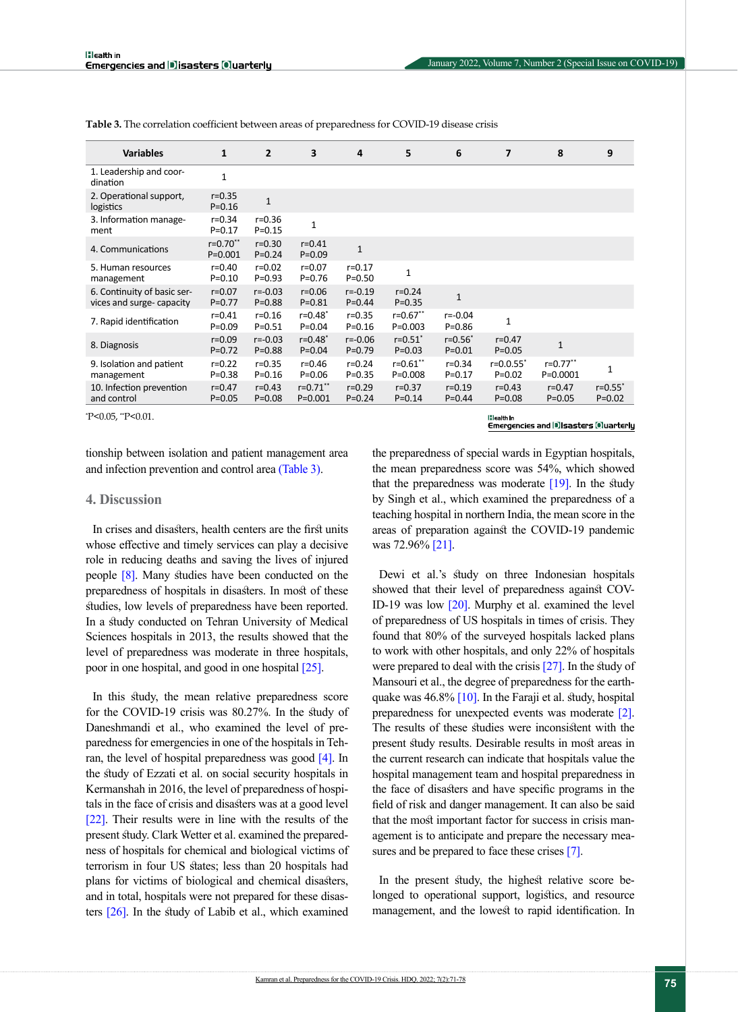| <b>Variables</b>                                        | $\mathbf{1}$                 | $\overline{2}$            | 3                            | 4                         | 5                            | 6                          | 7                            | 8                             | 9                        |
|---------------------------------------------------------|------------------------------|---------------------------|------------------------------|---------------------------|------------------------------|----------------------------|------------------------------|-------------------------------|--------------------------|
| 1. Leadership and coor-<br>dination                     | $\mathbf{1}$                 |                           |                              |                           |                              |                            |                              |                               |                          |
| 2. Operational support,<br>logistics                    | $r = 0.35$<br>$P = 0.16$     | $\mathbf{1}$              |                              |                           |                              |                            |                              |                               |                          |
| 3. Information manage-<br>ment                          | $r = 0.34$<br>$P = 0.17$     | $r = 0.36$<br>$P = 0.15$  | $\mathbf{1}$                 |                           |                              |                            |                              |                               |                          |
| 4. Communications                                       | $r = 0.70$ **<br>$P = 0.001$ | $r = 0.30$<br>$P = 0.24$  | $r = 0.41$<br>$P = 0.09$     | $\mathbf{1}$              |                              |                            |                              |                               |                          |
| 5. Human resources<br>management                        | $r = 0.40$<br>$P = 0.10$     | $r = 0.02$<br>$P = 0.93$  | $r = 0.07$<br>$P = 0.76$     | $r = 0.17$<br>$P = 0.50$  | 1                            |                            |                              |                               |                          |
| 6. Continuity of basic ser-<br>vices and surge-capacity | $r = 0.07$<br>$P = 0.77$     | $r = -0.03$<br>$P = 0.88$ | $r = 0.06$<br>$P = 0.81$     | $r = -0.19$<br>$P = 0.44$ | $r = 0.24$<br>$P = 0.35$     | $\mathbf{1}$               |                              |                               |                          |
| 7. Rapid identification                                 | $r = 0.41$<br>$P = 0.09$     | $r = 0.16$<br>$P = 0.51$  | $r = 0.48^*$<br>$P = 0.04$   | $r = 0.35$<br>$P = 0.16$  | $r = 0.67$ **<br>$P = 0.003$ | $r = -0.04$<br>$P = 0.86$  | 1                            |                               |                          |
| 8. Diagnosis                                            | $r = 0.09$<br>$P = 0.72$     | $r = -0.03$<br>$P = 0.88$ | $r = 0.48^*$<br>$P = 0.04$   | $r = -0.06$<br>$P = 0.79$ | $r = 0.51$ *<br>$P = 0.03$   | $r = 0.56$ *<br>$P = 0.01$ | $r = 0.47$<br>$P = 0.05$     | $\mathbf{1}$                  |                          |
| 9. Isolation and patient<br>management                  | $r = 0.22$<br>$P = 0.38$     | $r = 0.35$<br>$P = 0.16$  | $r = 0.46$<br>$P = 0.06$     | $r = 0.24$<br>$P = 0.35$  | $r = 0.61$ **<br>$P = 0.008$ | $r = 0.34$<br>$P = 0.17$   | $r = 0.0.55$ *<br>$P = 0.02$ | $r = 0.77$ **<br>$P = 0.0001$ | 1                        |
| 10. Infection prevention<br>and control                 | $r = 0.47$<br>$P = 0.05$     | $r = 0.43$<br>$P = 0.08$  | $r = 0.71$ **<br>$P = 0.001$ | $r = 0.29$<br>$P = 0.24$  | $r = 0.37$<br>$P = 0.14$     | $r = 0.19$<br>$P = 0.44$   | $r = 0.43$<br>$P = 0.08$     | $r = 0.47$<br>$P = 0.05$      | $r = 0.55$<br>$P = 0.02$ |

<span id="page-4-0"></span>**Table 3.** The correlation coefficient between areas of preparedness for COVID-19 disease crisis

\* P<0.05, \*\*P<0.01.

**Hilealth** in Emergencies and Disasters Oluarterly

tionship between isolation and patient management area and infection prevention and control area [\(Table 3\).](#page-4-0)

#### **4. Discussion**

In crises and disasters, health centers are the first units whose effective and timely services can play a decisive role in reducing deaths and saving the lives of injured people [\[8\].](#page-6-7) Many studies have been conducted on the preparedness of hospitals in disasters. In most of these studies, low levels of preparedness have been reported. In a study conducted on Tehran University of Medical Sciences hospitals in 2013, the results showed that the level of preparedness was moderate in three hospitals, poor in one hospital, and good in one hospital [\[25\]](#page-7-10).

In this study, the mean relative preparedness score for the COVID-19 crisis was 80.27%. In the study of Daneshmandi et al., who examined the level of preparedness for emergencies in one of the hospitals in Tehran, the level of hospital preparedness was good [\[4\]](#page-6-3). In the study of Ezzati et al. on social security hospitals in Kermanshah in 2016, the level of preparedness of hospitals in the face of crisis and disasters was at a good level [\[22\].](#page-7-7) Their results were in line with the results of the present study. Clark Wetter et al. examined the preparedness of hospitals for chemical and biological victims of terrorism in four US states; less than 20 hospitals had plans for victims of biological and chemical disasters, and in total, hospitals were not prepared for these disasters [\[26\]](#page-7-11). In the study of Labib et al., which examined

the preparedness of special wards in Egyptian hospitals, the mean preparedness score was 54%, which showed that the preparedness was moderate  $[19]$ . In the study by Singh et al., which examined the preparedness of a teaching hospital in northern India, the mean score in the areas of preparation against the COVID-19 pandemic was 72.96% [\[21\]](#page-7-6).

Dewi et al.'s study on three Indonesian hospitals showed that their level of preparedness against COV-ID-19 was low [\[20\]](#page-7-5). Murphy et al. examined the level of preparedness of US hospitals in times of crisis. They found that 80% of the surveyed hospitals lacked plans to work with other hospitals, and only 22% of hospitals were prepared to deal with the crisis [\[27\]](#page-7-12). In the study of Mansouri et al., the degree of preparedness for the earthquake was  $46.8\%$  [\[10\]](#page-6-9). In the Faraji et al. study, hospital preparedness for unexpected events was moderate [\[2\]](#page-6-1). The results of these studies were inconsistent with the present study results. Desirable results in most areas in the current research can indicate that hospitals value the hospital management team and hospital preparedness in the face of disasters and have specific programs in the field of risk and danger management. It can also be said that the most important factor for success in crisis management is to anticipate and prepare the necessary measures and be prepared to face these crise[s \[7\].](#page-6-6)

In the present study, the highest relative score belonged to operational support, logistics, and resource management, and the lowest to rapid identification. In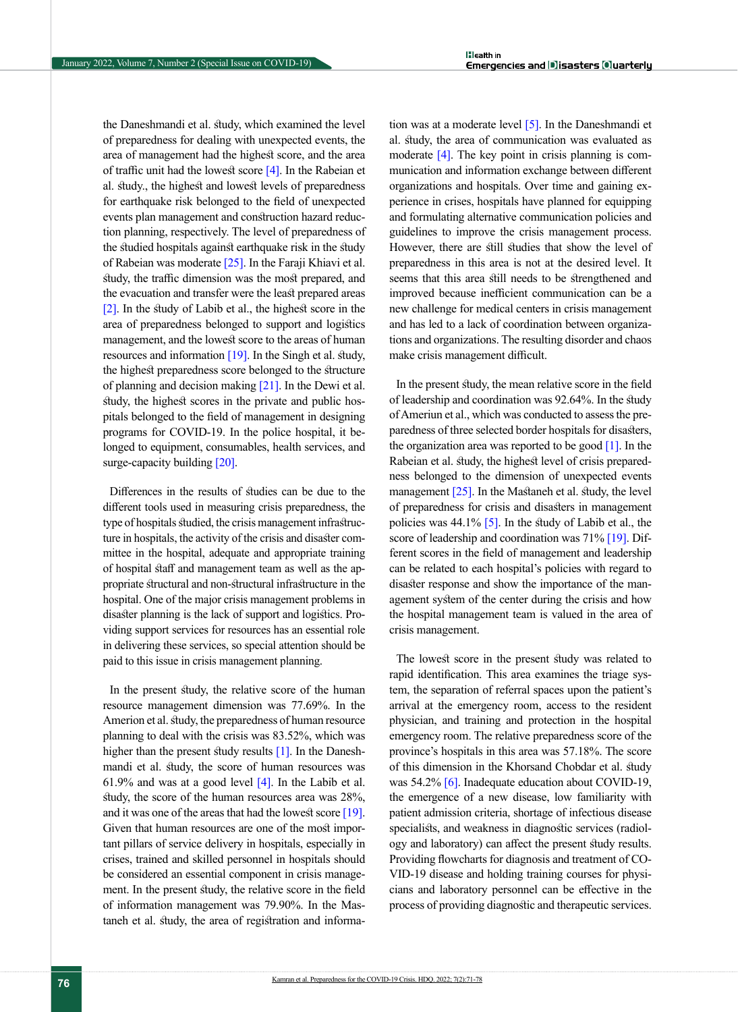the Daneshmandi et al. study, which examined the level of preparedness for dealing with unexpected events, the area of management had the highest score, and the area of traffic unit had the lowest score  $[4]$ . In the Rabeian et al. study., the highest and lowest levels of preparedness for earthquake risk belonged to the field of unexpected events plan management and construction hazard reduction planning, respectively. The level of preparedness of the studied hospitals against earthquake risk in the study of Rabeian was moderate [\[25\]](#page-7-10). In the Faraji Khiavi et al. study, the traffic dimension was the most prepared, and the evacuation and transfer were the least prepared areas [\[2\]](#page-6-1). In the study of Labib et al., the highest score in the area of preparedness belonged to support and logistics management, and the lowest score to the areas of human resources and information  $[19]$ . In the Singh et al. study, the highest preparedness score belonged to the structure of planning and decision making [\[21\]](#page-7-6). In the Dewi et al. study, the highest scores in the private and public hospitals belonged to the field of management in designing programs for COVID-19. In the police hospital, it belonged to equipment, consumables, health services, and surge-capacity building [\[20\].](#page-7-5)

Differences in the results of studies can be due to the different tools used in measuring crisis preparedness, the type of hospitals studied, the crisis management infrastructure in hospitals, the activity of the crisis and disaster committee in the hospital, adequate and appropriate training of hospital staff and management team as well as the appropriate structural and non-structural infrastructure in the hospital. One of the major crisis management problems in disaster planning is the lack of support and logistics. Providing support services for resources has an essential role in delivering these services, so special attention should be paid to this issue in crisis management planning.

In the present study, the relative score of the human resource management dimension was 77.69%. In the Amerion et al. study, the preparedness of human resource planning to deal with the crisis was 83.52%, which was higher than the present study results  $[1]$ . In the Daneshmandi et al. study, the score of human resources was 61.9% and was at a good level  $[4]$ . In the Labib et al. study, the score of the human resources area was 28%, and it was one of the areas that had the lowest score [\[19\]](#page-7-4). Given that human resources are one of the most important pillars of service delivery in hospitals, especially in crises, trained and skilled personnel in hospitals should be considered an essential component in crisis management. In the present study, the relative score in the field of information management was 79.90%. In the Mastaneh et al. study, the area of registration and information was at a moderate level [\[5\]](#page-6-4). In the Daneshmandi et al. study, the area of communication was evaluated as moderate  $[4]$ . The key point in crisis planning is communication and information exchange between different organizations and hospitals. Over time and gaining experience in crises, hospitals have planned for equipping and formulating alternative communication policies and guidelines to improve the crisis management process. However, there are still studies that show the level of preparedness in this area is not at the desired level. It seems that this area still needs to be strengthened and improved because inefficient communication can be a new challenge for medical centers in crisis management and has led to a lack of coordination between organizations and organizations. The resulting disorder and chaos make crisis management difficult.

In the present study, the mean relative score in the field of leadership and coordination was 92.64%. In the study of Ameriun et al., which was conducted to assess the preparedness of three selected border hospitals for disasters, the organization area was reported to be good  $[1]$ . In the Rabeian et al. study, the highest level of crisis preparedness belonged to the dimension of unexpected events management  $[25]$ . In the Mastaneh et al. study, the level of preparedness for crisis and disasters in management policies was  $44.1\%$  [\[5\].](#page-6-4) In the study of Labib et al., the score of leadership and coordination was 71% [\[19\]](#page-7-4). Different scores in the field of management and leadership can be related to each hospital's policies with regard to disaster response and show the importance of the management system of the center during the crisis and how the hospital management team is valued in the area of crisis management.

The lowest score in the present study was related to rapid identification. This area examines the triage system, the separation of referral spaces upon the patient's arrival at the emergency room, access to the resident physician, and training and protection in the hospital emergency room. The relative preparedness score of the province's hospitals in this area was 57.18%. The score of this dimension in the Khorsand Chobdar et al. study was 54.2% [\[6\]](#page-6-5). Inadequate education about COVID-19, the emergence of a new disease, low familiarity with patient admission criteria, shortage of infectious disease specialists, and weakness in diagnostic services (radiology and laboratory) can affect the present study results. Providing flowcharts for diagnosis and treatment of CO-VID-19 disease and holding training courses for physicians and laboratory personnel can be effective in the process of providing diagnostic and therapeutic services.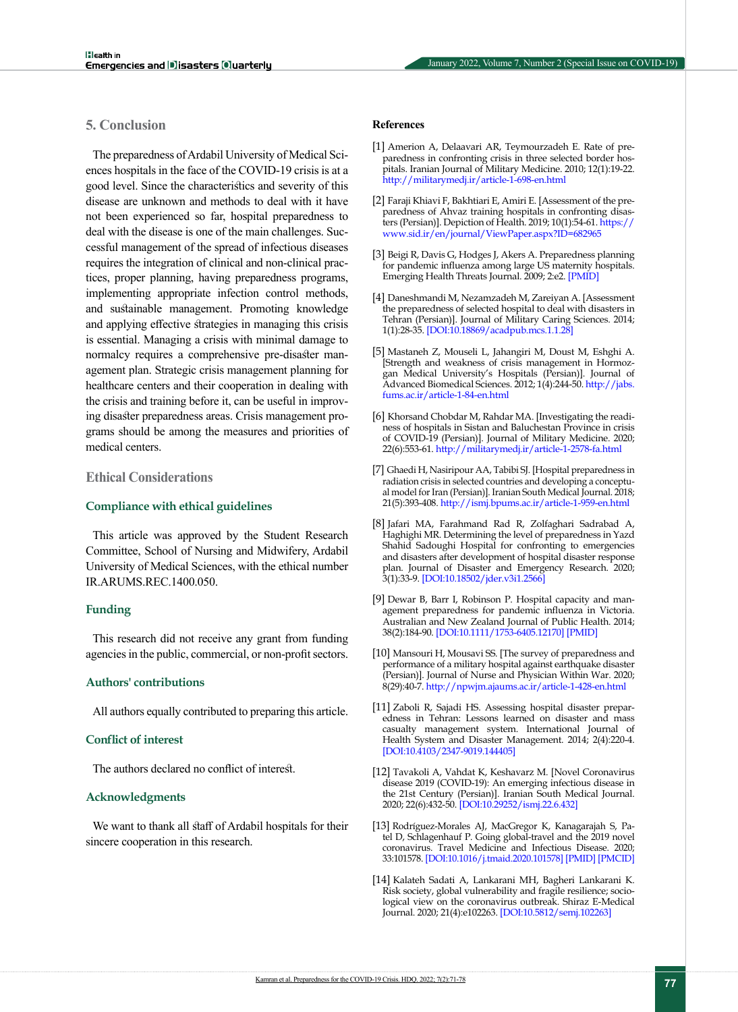# **5. Conclusion**

The preparedness of Ardabil University of Medical Sciences hospitals in the face of the COVID-19 crisis is at a good level. Since the characteristics and severity of this disease are unknown and methods to deal with it have not been experienced so far, hospital preparedness to deal with the disease is one of the main challenges. Successful management of the spread of infectious diseases requires the integration of clinical and non-clinical practices, proper planning, having preparedness programs, implementing appropriate infection control methods, and sustainable management. Promoting knowledge and applying effective strategies in managing this crisis is essential. Managing a crisis with minimal damage to normalcy requires a comprehensive pre-disaster management plan. Strategic crisis management planning for healthcare centers and their cooperation in dealing with the crisis and training before it, can be useful in improving disaster preparedness areas. Crisis management programs should be among the measures and priorities of medical centers.

## **Ethical Considerations**

#### **Compliance with ethical guidelines**

This article was approved by the Student Research Committee, School of Nursing and Midwifery, Ardabil University of Medical Sciences, with the ethical number IR.ARUMS.REC.1400.050.

#### **Funding**

This research did not receive any grant from funding agencies in the public, commercial, or non-profit sectors.

#### **Authors' contributions**

All authors equally contributed to preparing this article.

#### **Conflict of interest**

The authors declared no conflict of interest.

#### **Acknowledgments**

We want to thank all staff of Ardabil hospitals for their sincere cooperation in this research.

#### **References**

- <span id="page-6-0"></span>[1] Amerion A, Delaavari AR, Teymourzadeh E. Rate of preparedness in confronting crisis in three selected border hospitals. Iranian Journal of Military Medicine. 2010; 12(1):19-22. <http://militarymedj.ir/article-1-698-en.html>
- <span id="page-6-1"></span>[2] Faraji Khiavi F, Bakhtiari E, Amiri E. [Assessment of the preparedness of Ahvaz training hospitals in confronting disasters (Persian)]. Depiction of Health. 2019; 10(1):54-61. [https://](https://www.sid.ir/en/journal/ViewPaper.aspx?ID=682965) [www.sid.ir/en/journal/ViewPaper.aspx?ID=682965](https://www.sid.ir/en/journal/ViewPaper.aspx?ID=682965)
- <span id="page-6-2"></span>[3] Beigi R, Davis G, Hodges J, Akers A. Preparedness planning for pandemic influenza among large US maternity hospitals. Emerging Health Threats Journal. 2009; 2:e2. [[PMID\]](https://pubmed.ncbi.nlm.nih.gov/22460283/)
- <span id="page-6-3"></span>[4] Daneshmandi M, Nezamzadeh M, Zareiyan A. [Assessment the preparedness of selected hospital to deal with disasters in Tehran (Persian)]. Journal of Military Caring Sciences. 2014; 1(1):28-35. [\[DOI:10.18869/acadpub.mcs.1.1.28](https://doi.org/10.18869/acadpub.mcs.1.1.28)]
- <span id="page-6-4"></span>[5] Mastaneh Z, Mouseli L, Jahangiri M, Doust M, Eshghi A. [Strength and weakness of crisis management in Hormozgan Medical University's Hospitals (Persian)]. Journal of Advanced Biomedical Sciences. 2012; 1(4):244-50. [http://jabs.](http://jabs.fums.ac.ir/article-1-84-en.html) [fums.ac.ir/article-1-84-en.html](http://jabs.fums.ac.ir/article-1-84-en.html)
- <span id="page-6-5"></span>[6] Khorsand Chobdar M, Rahdar MA. [Investigating the readiness of hospitals in Sistan and Baluchestan Province in crisis of COVID-19 (Persian)]. Journal of Military Medicine. 2020; 22(6):553-61.<http://militarymedj.ir/article-1-2578-fa.html>
- <span id="page-6-6"></span>[7] Ghaedi H, Nasiripour AA, Tabibi SJ. [Hospital preparedness in radiation crisis in selected countries and developing a conceptual model for Iran (Persian)]. Iranian South Medical Journal. 2018; 21(5):393-408. <http://ismj.bpums.ac.ir/article-1-959-en.html>
- <span id="page-6-7"></span>[8] Jafari MA, Farahmand Rad R, Zolfaghari Sadrabad A, Haghighi MR. Determining the level of preparedness in Yazd Shahid Sadoughi Hospital for confronting to emergencies and disasters after development of hospital disaster response plan. Journal of Disaster and Emergency Research. 2020; 3(1):33-9. [\[DOI:10.18502/jder.v3i1.2566](https://doi.org/10.18502/jder.v3i1.2566)]
- <span id="page-6-8"></span>[9] Dewar B, Barr I, Robinson P. Hospital capacity and management preparedness for pandemic influenza in Victoria. Australian and New Zealand Journal of Public Health. 2014; 38(2):184-90. [[DOI:10.1111/1753-6405.12170\]](https://doi.org/10.1111/1753-6405.12170) [[PMID](https://www.ncbi.nlm.nih.gov/pubmed/24690058)]
- <span id="page-6-9"></span>[10] Mansouri H, Mousavi SS. [The survey of preparedness and performance of a military hospital against earthquake disaster (Persian)]. Journal of Nurse and Physician Within War. 2020; 8(29):40-7. <http://npwjm.ajaums.ac.ir/article-1-428-en.html>
- <span id="page-6-10"></span>[11] Zaboli R, Sajadi HS. Assessing hospital disaster preparedness in Tehran: Lessons learned on disaster and mass casualty management system. International Journal of Health System and Disaster Management. 2014; 2(4):220-4. [[DOI:10.4103/2347-9019.144405\]](https://doi.org/10.4103/2347-9019.144405)
- <span id="page-6-11"></span>[12] Tavakoli A, Vahdat K, Keshavarz M. [Novel Coronavirus disease 2019 (COVID-19): An emerging infectious disease in the 21st Century (Persian)]. Iranian South Medical Journal. 2020; 22(6):432-50. [\[DOI:10.29252/ismj.22.6.432](https://doi.org/10.29252/ismj.22.6.432)]
- [13] Rodríguez-Morales AJ, MacGregor K, Kanagarajah S, Patel D, Schlagenhauf P. Going global-travel and the 2019 novel coronavirus. Travel Medicine and Infectious Disease. 2020; 33:101578. [\[DOI:10.1016/j.tmaid.2020.101578](https://doi.org/10.1016/j.tmaid.2020.101578)] [[PMID\]](https://www.ncbi.nlm.nih.gov/pubmed/32044389) [\[PMCID\]](http://www.ncbi.nlm.nih.gov/pmc/articles/PMC7128681)
- <span id="page-6-12"></span>[14] Kalateh Sadati A, Lankarani MH, Bagheri Lankarani K. Risk society, global vulnerability and fragile resilience; sociological view on the coronavirus outbreak. Shiraz E-Medical Journal. 2020; 21(4):e102263. [[DOI:10.5812/semj.102263\]](https://doi.org/10.5812/semj.102263)